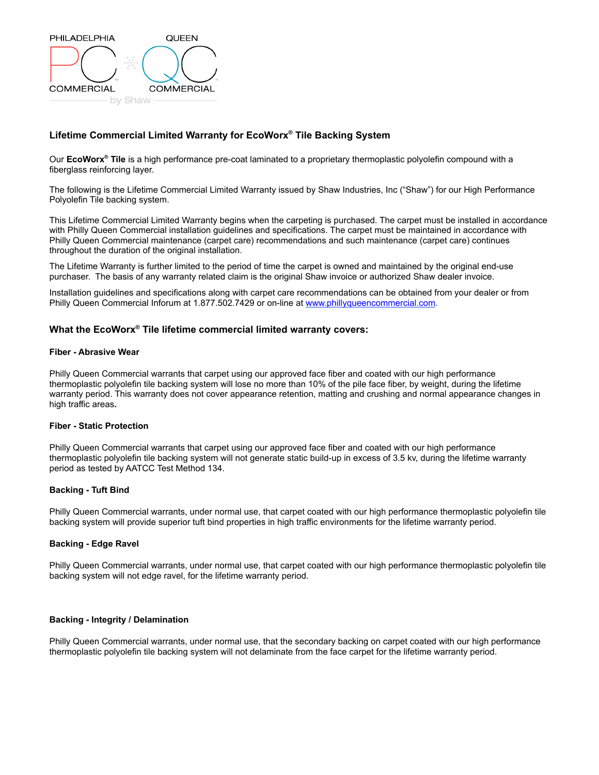

# **Lifetime Commercial Limited Warranty for EcoWorx® Tile Backing System**

Our **EcoWorx® Tile** is a high performance pre-coat laminated to a proprietary thermoplastic polyolefin compound with a fiberglass reinforcing layer.

The following is the Lifetime Commercial Limited Warranty issued by Shaw Industries, Inc ("Shaw") for our High Performance Polyolefin Tile backing system.

This Lifetime Commercial Limited Warranty begins when the carpeting is purchased. The carpet must be installed in accordance with Philly Queen Commercial installation guidelines and specifications. The carpet must be maintained in accordance with Philly Queen Commercial maintenance (carpet care) recommendations and such maintenance (carpet care) continues throughout the duration of the original installation.

The Lifetime Warranty is further limited to the period of time the carpet is owned and maintained by the original end-use purchaser. The basis of any warranty related claim is the original Shaw invoice or authorized Shaw dealer invoice.

Installation guidelines and specifications along with carpet care recommendations can be obtained from your dealer or from Philly Queen Commercial Inforum at 1.877.502.7429 or on-line at www.phillyqueencommercial.com.

## **What the EcoWorx® Tile lifetime commercial limited warranty covers:**

#### **Fiber - Abrasive Wear**

Philly Queen Commercial warrants that carpet using our approved face fiber and coated with our high performance thermoplastic polyolefin tile backing system will lose no more than 10% of the pile face fiber, by weight, during the lifetime warranty period. This warranty does not cover appearance retention, matting and crushing and normal appearance changes in high traffic areas**.**

#### **Fiber - Static Protection**

Philly Queen Commercial warrants that carpet using our approved face fiber and coated with our high performance thermoplastic polyolefin tile backing system will not generate static build-up in excess of 3.5 kv, during the lifetime warranty period as tested by AATCC Test Method 134.

### **Backing - Tuft Bind**

Philly Queen Commercial warrants, under normal use, that carpet coated with our high performance thermoplastic polyolefin tile backing system will provide superior tuft bind properties in high traffic environments for the lifetime warranty period.

### **Backing - Edge Ravel**

Philly Queen Commercial warrants, under normal use, that carpet coated with our high performance thermoplastic polyolefin tile backing system will not edge ravel, for the lifetime warranty period.

#### **Backing - Integrity / Delamination**

Philly Queen Commercial warrants, under normal use, that the secondary backing on carpet coated with our high performance thermoplastic polyolefin tile backing system will not delaminate from the face carpet for the lifetime warranty period.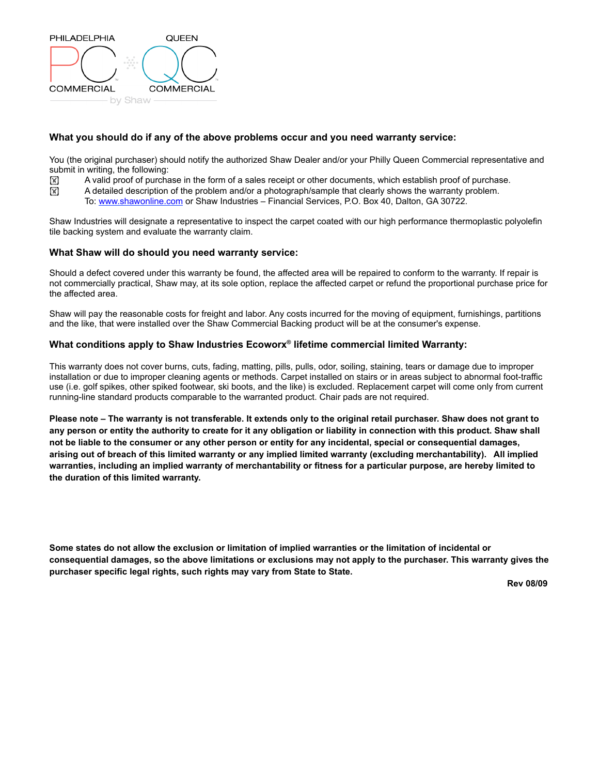

# **What you should do if any of the above problems occur and you need warranty service:**

You (the original purchaser) should notify the authorized Shaw Dealer and/or your Philly Queen Commercial representative and submit in writing, the following:

- $\mathbb{F}$  A valid proof of purchase in the form of a sales receipt or other documents, which establish proof of purchase.
- ! A detailed description of the problem and/or a photograph/sample that clearly shows the warranty problem.
	- To: www.shawonline.com or Shaw Industries Financial Services, P.O. Box 40, Dalton, GA 30722.

Shaw Industries will designate a representative to inspect the carpet coated with our high performance thermoplastic polyolefin tile backing system and evaluate the warranty claim.

## **What Shaw will do should you need warranty service:**

Should a defect covered under this warranty be found, the affected area will be repaired to conform to the warranty. If repair is not commercially practical, Shaw may, at its sole option, replace the affected carpet or refund the proportional purchase price for the affected area.

Shaw will pay the reasonable costs for freight and labor. Any costs incurred for the moving of equipment, furnishings, partitions and the like, that were installed over the Shaw Commercial Backing product will be at the consumer's expense.

# **What conditions apply to Shaw Industries Ecoworx® lifetime commercial limited Warranty:**

This warranty does not cover burns, cuts, fading, matting, pills, pulls, odor, soiling, staining, tears or damage due to improper installation or due to improper cleaning agents or methods. Carpet installed on stairs or in areas subject to abnormal foot-traffic use (i.e. golf spikes, other spiked footwear, ski boots, and the like) is excluded. Replacement carpet will come only from current running-line standard products comparable to the warranted product. Chair pads are not required.

**Please note – The warranty is not transferable. It extends only to the original retail purchaser. Shaw does not grant to any person or entity the authority to create for it any obligation or liability in connection with this product. Shaw shall not be liable to the consumer or any other person or entity for any incidental, special or consequential damages, arising out of breach of this limited warranty or any implied limited warranty (excluding merchantability). All implied warranties, including an implied warranty of merchantability or fitness for a particular purpose, are hereby limited to the duration of this limited warranty.** 

**Some states do not allow the exclusion or limitation of implied warranties or the limitation of incidental or consequential damages, so the above limitations or exclusions may not apply to the purchaser. This warranty gives the purchaser specific legal rights, such rights may vary from State to State.**

**Rev 08/09**